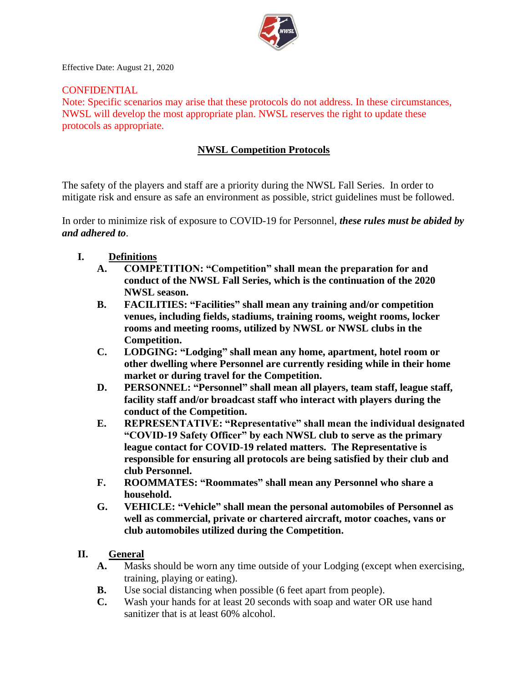

Effective Date: August 21, 2020

#### CONFIDENTIAL

Note: Specific scenarios may arise that these protocols do not address. In these circumstances, NWSL will develop the most appropriate plan. NWSL reserves the right to update these protocols as appropriate.

### **NWSL Competition Protocols**

The safety of the players and staff are a priority during the NWSL Fall Series. In order to mitigate risk and ensure as safe an environment as possible, strict guidelines must be followed.

In order to minimize risk of exposure to COVID-19 for Personnel, *these rules must be abided by and adhered to*.

- **I. Definitions**
	- **A. COMPETITION: "Competition" shall mean the preparation for and conduct of the NWSL Fall Series, which is the continuation of the 2020 NWSL season.**
	- **B. FACILITIES: "Facilities" shall mean any training and/or competition venues, including fields, stadiums, training rooms, weight rooms, locker rooms and meeting rooms, utilized by NWSL or NWSL clubs in the Competition.**
	- **C. LODGING: "Lodging" shall mean any home, apartment, hotel room or other dwelling where Personnel are currently residing while in their home market or during travel for the Competition.**
	- **D. PERSONNEL: "Personnel" shall mean all players, team staff, league staff, facility staff and/or broadcast staff who interact with players during the conduct of the Competition.**
	- **E. REPRESENTATIVE: "Representative" shall mean the individual designated "COVID-19 Safety Officer" by each NWSL club to serve as the primary league contact for COVID-19 related matters. The Representative is responsible for ensuring all protocols are being satisfied by their club and club Personnel.**
	- **F. ROOMMATES: "Roommates" shall mean any Personnel who share a household.**
	- **G. VEHICLE: "Vehicle" shall mean the personal automobiles of Personnel as well as commercial, private or chartered aircraft, motor coaches, vans or club automobiles utilized during the Competition.**

### **II. General**

- **A.** Masks should be worn any time outside of your Lodging (except when exercising, training, playing or eating).
- **B.** Use social distancing when possible (6 feet apart from people).
- **C.** Wash your hands for at least 20 seconds with soap and water OR use hand sanitizer that is at least 60% alcohol.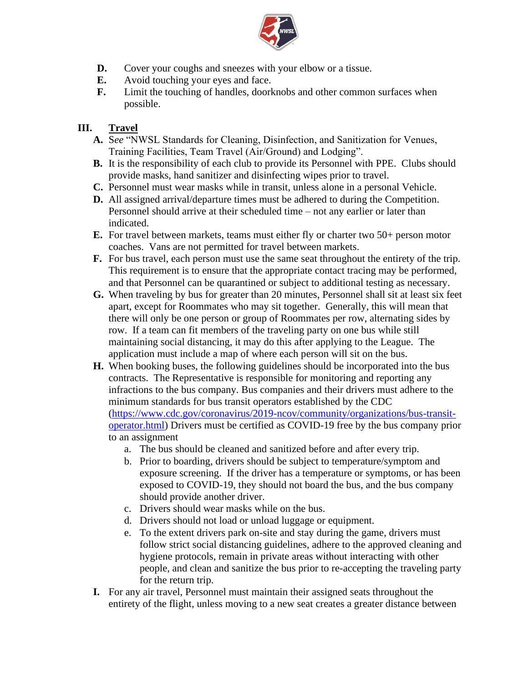

- **D.** Cover your coughs and sneezes with your elbow or a tissue.
- **E.** Avoid touching your eyes and face.
- **F.** Limit the touching of handles, doorknobs and other common surfaces when possible.

# **III. Travel**

- **A.** S*ee* "NWSL Standards for Cleaning, Disinfection, and Sanitization for Venues, Training Facilities, Team Travel (Air/Ground) and Lodging".
- **B.** It is the responsibility of each club to provide its Personnel with PPE. Clubs should provide masks, hand sanitizer and disinfecting wipes prior to travel.
- **C.** Personnel must wear masks while in transit, unless alone in a personal Vehicle.
- **D.** All assigned arrival/departure times must be adhered to during the Competition. Personnel should arrive at their scheduled time – not any earlier or later than indicated.
- **E.** For travel between markets, teams must either fly or charter two 50+ person motor coaches. Vans are not permitted for travel between markets.
- **F.** For bus travel, each person must use the same seat throughout the entirety of the trip. This requirement is to ensure that the appropriate contact tracing may be performed, and that Personnel can be quarantined or subject to additional testing as necessary.
- **G.** When traveling by bus for greater than 20 minutes, Personnel shall sit at least six feet apart, except for Roommates who may sit together. Generally, this will mean that there will only be one person or group of Roommates per row, alternating sides by row. If a team can fit members of the traveling party on one bus while still maintaining social distancing, it may do this after applying to the League. The application must include a map of where each person will sit on the bus.
- **H.** When booking buses, the following guidelines should be incorporated into the bus contracts. The Representative is responsible for monitoring and reporting any infractions to the bus company. Bus companies and their drivers must adhere to the minimum standards for bus transit operators established by the CDC [\(https://www.cdc.gov/coronavirus/2019-ncov/community/organizations/bus-transit](https://www.cdc.gov/coronavirus/2019-ncov/community/organizations/bus-transit-operator.html)[operator.html\)](https://www.cdc.gov/coronavirus/2019-ncov/community/organizations/bus-transit-operator.html) Drivers must be certified as COVID-19 free by the bus company prior to an assignment
	- a. The bus should be cleaned and sanitized before and after every trip.
	- b. Prior to boarding, drivers should be subject to temperature/symptom and exposure screening. If the driver has a temperature or symptoms, or has been exposed to COVID-19, they should not board the bus, and the bus company should provide another driver.
	- c. Drivers should wear masks while on the bus.
	- d. Drivers should not load or unload luggage or equipment.
	- e. To the extent drivers park on-site and stay during the game, drivers must follow strict social distancing guidelines, adhere to the approved cleaning and hygiene protocols, remain in private areas without interacting with other people, and clean and sanitize the bus prior to re-accepting the traveling party for the return trip.
- **I.** For any air travel, Personnel must maintain their assigned seats throughout the entirety of the flight, unless moving to a new seat creates a greater distance between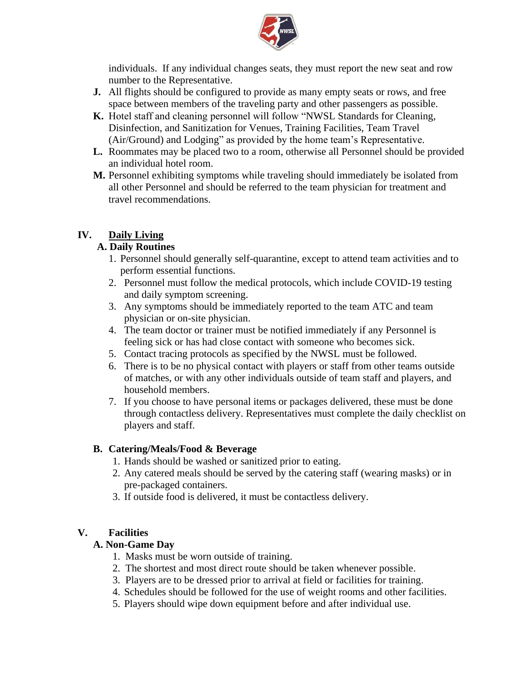

individuals. If any individual changes seats, they must report the new seat and row number to the Representative.

- **J.** All flights should be configured to provide as many empty seats or rows, and free space between members of the traveling party and other passengers as possible.
- **K.** Hotel staff and cleaning personnel will follow "NWSL Standards for Cleaning, Disinfection, and Sanitization for Venues, Training Facilities, Team Travel (Air/Ground) and Lodging" as provided by the home team's Representative.
- **L.** Roommates may be placed two to a room, otherwise all Personnel should be provided an individual hotel room.
- **M.** Personnel exhibiting symptoms while traveling should immediately be isolated from all other Personnel and should be referred to the team physician for treatment and travel recommendations.

## **IV. Daily Living**

### **A. Daily Routines**

- 1. Personnel should generally self-quarantine, except to attend team activities and to perform essential functions.
- 2. Personnel must follow the medical protocols, which include COVID-19 testing and daily symptom screening.
- 3. Any symptoms should be immediately reported to the team ATC and team physician or on-site physician.
- 4. The team doctor or trainer must be notified immediately if any Personnel is feeling sick or has had close contact with someone who becomes sick.
- 5. Contact tracing protocols as specified by the NWSL must be followed.
- 6. There is to be no physical contact with players or staff from other teams outside of matches, or with any other individuals outside of team staff and players, and household members.
- 7. If you choose to have personal items or packages delivered, these must be done through contactless delivery. Representatives must complete the daily checklist on players and staff.

### **B. Catering/Meals/Food & Beverage**

- 1. Hands should be washed or sanitized prior to eating.
- 2. Any catered meals should be served by the catering staff (wearing masks) or in pre-packaged containers.
- 3. If outside food is delivered, it must be contactless delivery.

#### **V. Facilities**

### **A. Non-Game Day**

- 1. Masks must be worn outside of training.
- 2. The shortest and most direct route should be taken whenever possible.
- 3. Players are to be dressed prior to arrival at field or facilities for training.
- 4. Schedules should be followed for the use of weight rooms and other facilities.
- 5. Players should wipe down equipment before and after individual use.